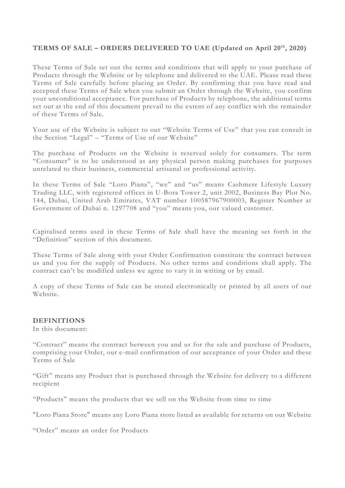## **TERMS OF SALE – ORDERS DELIVERED TO UAE (Updated on April 20th, 2020)**

These Terms of Sale set out the terms and conditions that will apply to your purchase of Products through the Website or by telephone and delivered to the UAE. Please read these Terms of Sale carefully before placing an Order. By confirming that you have read and accepted these Terms of Sale when you submit an Order through the Website, you confirm your unconditional acceptance. For purchase of Products by telephone, the additional terms set out at the end of this document prevail to the extent of any conflict with the remainder of these Terms of Sale.

Your use of the Website is subject to our "Website Terms of Use" that you can consult in the Section "Legal" – "Terms of Use of our Website"

The purchase of Products on the Website is reserved solely for consumers. The term "Consumer" is to be understood as any physical person making purc hases for purposes unrelated to their business, commercial artisanal or professional activity.

In these Terms of Sale "Loro Piana", "we" and "us" means Cashmere Lifestyle Luxury Trading LLC, with registered offices in U-Bora Tower 2, unit 2002, Business Bay Plot No. 144, Dubai, United Arab Emirates, VAT number 100587967900003, Register Number at Government of Dubai n. 1297708 and "you" means you, our valued customer.

Capitalised terms used in these Terms of Sale shall have the meaning set forth in the "Definition" section of this document.

These Terms of Sale along with your Order Confirmation constitute the contract between us and you for the supply of Products. No other terms and conditions shall apply. The contract can't be modified unless we agree to vary it in writing or by email.

A copy of these Terms of Sale can be stored electronically or printed by all users of our Website.

#### **DEFINITIONS**

In this document:

"Contract" means the contract between you and us for the sale and purchase of Products, comprising your Order, our e-mail confirmation of our acceptance of your Order and these Terms of Sale

"Gift" means any Product that is purchased through the Website for delivery to a different recipient

"Products" means the products that we sell on the Website from time to time

"Loro Piana Store" means any Loro Piana store listed as available for returns on our Website

"Order" means an order for Products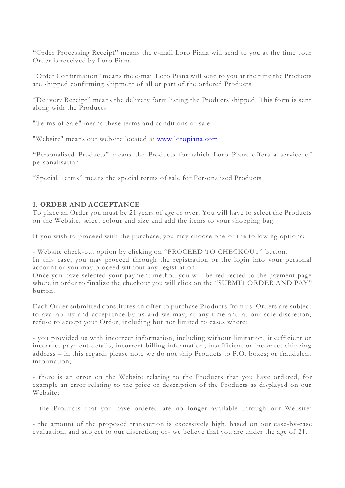"Order Processing Receipt" means the e-mail Loro Piana will send to you at the time your Order is received by Loro Piana

"Order Confirmation" means the e-mail Loro Piana will send to you at the time the Products are shipped confirming shipment of all or part of the ordered Products

"Delivery Receipt" means the delivery form listing the Products shipped. This form is sent along with the Products

"Terms of Sale" means these terms and conditions of sale

"Website" means our website located at [www.loropiana.com](http://www.loropiana.com/)

"Personalised Products" means the Products for which Loro Piana offers a service of personalisation

"Special Terms" means the special terms of sale for Personalised Products

# **1. ORDER AND ACCEPTANCE**

To place an Order you must be 21 years of age or over. You will have to select the Products on the Website, select colour and size and add the items to your shopping bag.

If you wish to proceed with the purchase, you may choose one of the following options:

- Website check-out option by clicking on "PROCEED TO CHECKOUT" button. In this case, you may proceed through the registration or the login into your personal account or you may proceed without any registration.

Once you have selected your payment method you will be redirected to the payment page where in order to finalize the checkout you will click on the "SUBMIT ORDER AND PAY" button.

Each Order submitted constitutes an offer to purchase Products from us. Orders are subject to availability and acceptance by us and we may, at any time and at our sole discretion, refuse to accept your Order, including but not limited to cases where:

- you provided us with incorrect information, including without limitation, insufficient or incorrect payment details, incorrect billing information; insufficient or incorrect shipping address – in this regard, please note we do not ship Products to P.O. boxes; or fraudulent information;

- there is an error on the Website relating to the Products that you have ordered, for example an error relating to the price or description of the Products as displayed on our Website;

- the Products that you have ordered are no longer available through our Website;

- the amount of the proposed transaction is excessively high, based on our case-by-case evaluation, and subject to our discretion; or- we believe that you are under the age of 21.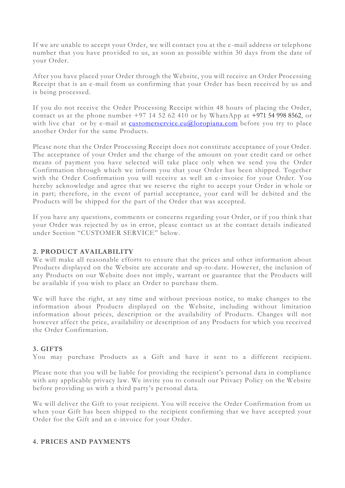If we are unable to accept your Order, we will contact you at the e -mail address or telephone number that you have provided to us, as soon as possible within 30 days from the date of your Order.

After you have placed your Order through the Website, you will receive an Order Processing Receipt that is an e-mail from us confirming that your Order has been received by us and is being processed.

If you do not receive the Order Processing Receipt within 48 hours of placing the Order, contact us at the phone number  $+97$  14 52 62 410 or by WhatsApp at  $+971$  54 998 8562, or with live chat or by e-mail at [customerservice.eu@loropiana.com](mailto:customerservice.eu@loropiana.com) before you try to place another Order for the same Products.

Please note that the Order Processing Receipt does not constitute acceptance of your Order. The acceptance of your Order and the charge of the amount on your credit card or other means of payment you have selected will take place only when we send you the Order Confirmation through which we inform you that your Order has been shipped. Together with the Order Confirmation you will receive as well an e -invoice for your Order. You hereby acknowledge and agree that we reserve the right to accept your Order in whole or in part; therefore, in the event of partial acceptance, your card will be debited and the Products will be shipped for the part of the Order that was accepted.

If you have any questions, comments or concerns regarding your Order, or if you think t hat your Order was rejected by us in error, please contact us at the contact details indicated under Section "CUSTOMER SERVICE" below.

# **2. PRODUCT AVAILABILITY**

We will make all reasonable efforts to ensure that the prices and other information about Products displayed on the Website are accurate and up-to-date. However, the inclusion of any Products on our Website does not imply, warrant or guarantee that the Pro ducts will be available if you wish to place an Order to purchase them.

We will have the right, at any time and without previous notice, to make changes to the information about Products displayed on the Website, including without limitation information about prices, description or the availability of Products. Changes will not however affect the price, availability or description of any Products for which you received the Order Confirmation.

# **3. GIFTS**

You may purchase Products as a Gift and have it sent to a different recipient.

Please note that you will be liable for providing the recipient's personal data in compliance with any applicable privacy law. We invite you to consult our Privacy Policy on the Website before providing us with a third party's personal data.

We will deliver the Gift to your recipient. You will receive the Order Confirmation from us when your Gift has been shipped to the recipient confirming that we have accepted your Order for the Gift and an e-invoice for your Order.

#### **4. PRICES AND PAYMENTS**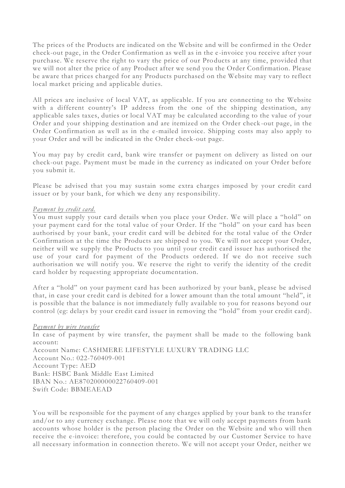The prices of the Products are indicated on the Website and will be confirmed in the Order check-out page, in the Order Confirmation as well as in the e -invoice you receive after your purchase. We reserve the right to vary the price of our Products at any time, provided that we will not alter the price of any Product after we send you the Order Confirmation. Please be aware that prices charged for any Products purchased on the Website may vary to reflect local market pricing and applicable duties.

All prices are inclusive of local VAT, as applicable. If you are connecting to the Website with a different country's IP address from the one of the shipping destination, any applicable sales taxes, duties or local VAT may be calculated according to the value of your Order and your shipping destination and are itemized on the Order check -out page, in the Order Confirmation as well as in the e-mailed invoice. Shipping costs may also apply to your Order and will be indicated in the Order check-out page.

You may pay by credit card, bank wire transfer or payment on delivery as listed on our check-out page. Payment must be made in the currency as indicated on your Order before you submit it.

Please be advised that you may sustain some extra charges imposed by your credit card issuer or by your bank, for which we deny any responsibility.

#### *Payment by credit card.*

You must supply your card details when you place your Order. We will place a "hold" on your payment card for the total value of your Order. If the "hold" on your card has been authorised by your bank, your credit card will be debited for the total value of the Order Confirmation at the time the Products are shipped to you. We will not accept your Order, neither will we supply the Products to you until your credit card issuer has authorised the use of your card for payment of the Products ordered. If we do not receive such authorisation we will notify you. We reserve the right to verify the identity of the credit card holder by requesting appropriate documentation.

After a "hold" on your payment card has been authorized by your bank, please be advised that, in case your credit card is debited for a lower amount than the total amount "held", it is possible that the balance is not immediately fully available to you for reasons beyond our control (eg: delays by your credit card issuer in removing the "hold" from your credit card).

#### *Payment by wire transfer*

In case of payment by wire transfer, the payment shall be made to the following bank account:

Account Name: CASHMERE LIFESTYLE LUXURY TRADING LLC Account No.: 022-760409-001 Account Type: AED Bank: HSBC Bank Middle East Limited IBAN No.: AE870200000022760409-001 Swift Code: BBMEAEAD

You will be responsible for the payment of any charges applied by your bank to the transfer and/or to any currency exchange. Please note that we will only accept payments from bank accounts whose holder is the person placing the Order on the Website and who will then receive the e-invoice: therefore, you could be contacted by our Customer Service to have all necessary information in connection thereto. We will not accept your Order, neither we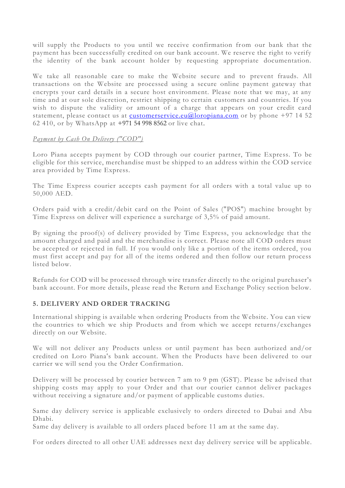will supply the Products to you until we receive confirmation from our bank that the payment has been successfully credited on our bank account. We reserve the right to verify the identity of the bank account holder by requesting appropriate documentation.

We take all reasonable care to make the Website secure and to prevent frauds. All transactions on the Website are processed using a secure online payment gateway that encrypts your card details in a secure host environment. Please note that we may, at any time and at our sole discretion, restrict shipping to certain customers and countries. If you wish to dispute the validity or amount of a charge that appears on your credit card statement, please contact us at [customerservice.eu@loropiana.com](mailto:customerservice.eu@loropiana.com) or by phone +97 14 52 62 410, or by WhatsApp at +971 54 998 8562 or live chat.

## *Payment by Cash On Delivery ("COD")*

Loro Piana accepts payment by COD through our courier partner, Time Express. To be eligible for this service, merchandise must be shipped to an address within the COD service area provided by Time Express.

The Time Express courier accepts cash payment for all orders with a total value up to 50,000 AED.

Orders paid with a credit/debit card on the Point of Sales ("POS") machine brought by Time Express on deliver will experience a surcharge of 3,5% of paid amount.

By signing the proof(s) of delivery provided by Time Express, you acknowledge that the amount charged and paid and the merchandise is correct. Please note all COD orders must be accepted or rejected in full. If you would only like a portion of the items ordered, you must first accept and pay for all of the items ordered and then follow our return process listed below.

Refunds for COD will be processed through wire transfer directly to the original purchaser's bank account. For more details, please read the Return and Exchange Policy section below.

# **5. DELIVERY AND ORDER TRACKING**

International shipping is available when ordering Products from the Website. You can view the countries to which we ship Products and from which we accept returns/exchanges directly on our Website.

We will not deliver any Products unless or until payment has been authorized and/or credited on Loro Piana's bank account. When the Products have been delivered to our carrier we will send you the Order Confirmation.

Delivery will be processed by courier between 7 am to 9 pm (GST). Please be advised that shipping costs may apply to your Order and that our courier cannot deliver packages without receiving a signature and/or payment of applicable customs duties.

Same day delivery service is applicable exclusively to orders directed to Dubai and Abu Dhabi.

Same day delivery is available to all orders placed before 11 am at the same day.

For orders directed to all other UAE addresses next day delivery service will be applicable.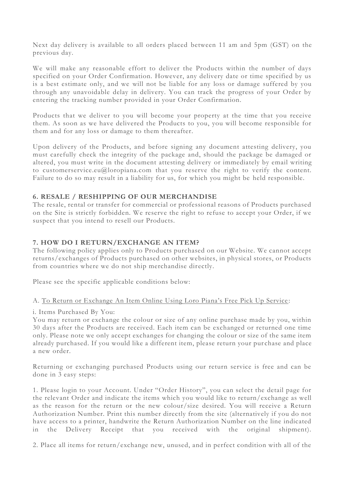Next day delivery is available to all orders placed between 11 am and 5pm (GST) on the previous day.

We will make any reasonable effort to deliver the Products within the number of days specified on your Order Confirmation. However, any delivery date or time specified by us is a best estimate only, and we will not be liable for any loss or damage suffered by you through any unavoidable delay in delivery. You can track the progress of your Order by entering the tracking number provided in your Order Confirmation.

Products that we deliver to you will become your property at the time that you receive them. As soon as we have delivered the Products to you, you will become responsible for them and for any loss or damage to them thereafter.

Upon delivery of the Products, and before signing any document attesting delivery, you must carefully check the integrity of the package and, should the package be damaged or altered, you must write in the document attesting delivery or immediately by email writing to customerservice.eu@loropiana.com that you reserve the right to verify the content. Failure to do so may result in a liability for us, for which you might be held responsible.

# **6. RESALE / RESHIPPING OF OUR MERCHANDISE**

The resale, rental or transfer for commercial or professional reasons of Products purchased on the Site is strictly forbidden. We reserve the right to refuse to accept your Order, if we suspect that you intend to resell our Products.

## **7. HOW DO I RETURN/EXCHANGE AN ITEM?**

The following policy applies only to Products purchased on our Website. We cannot accept returns/exchanges of Products purchased on other websites, in physical stores, or Products from countries where we do not ship merchandise directly.

Please see the specific applicable conditions below:

#### A. To Return or Exchange An Item Online Using Loro Piana's Free Pick Up Service :

#### i. Items Purchased By You:

You may return or exchange the colour or size of any online purchase made by you, within 30 days after the Products are received. Each item can be exchanged or returned one time only. Please note we only accept exchanges for changing the colour or size of the same item already purchased. If you would like a different item, please return your pur chase and place a new order.

Returning or exchanging purchased Products using our return service is free and can be done in 3 easy steps:

1. Please login to your Account. Under "Order History", you can select the detail page for the relevant Order and indicate the items which you would like to return/exchange as well as the reason for the return or the new colour/size desired. You will receive a Return Authorization Number. Print this number directly from the site (alternatively if you do not have access to a printer, handwrite the Return Authorization Number on the line indicated in the Delivery Receipt that you received with the original shipment).

2. Place all items for return/exchange new, unused, and in perfect condition with all of the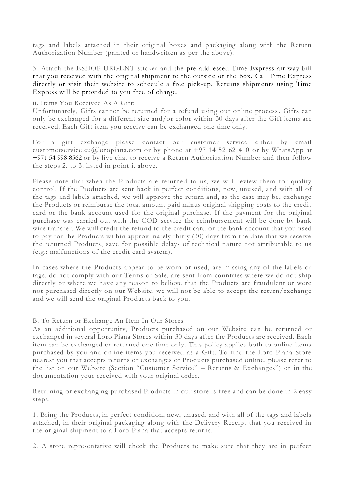tags and labels attached in their original boxes and packaging along with the Return Authorization Number (printed or handwritten as per the above).

3. Attach the ESHOP URGENT sticker and the pre-addressed Time Express air way bill that you received with the original shipment to the outside of the box. Call Time Express directly or visit their website to schedule a free pick-up. Returns shipments using Time Express will be provided to you free of charge.

#### ii. Items You Received As A Gift:

Unfortunately, Gifts cannot be returned for a refund using our online process. Gifts can only be exchanged for a different size and/or color within 30 days after the Gift items are received. Each Gift item you receive can be exchanged one time only.

For a gift exchange please contact our customer service either by email customerservice.eu@loropiana.com or by phone at  $+97$  14 52 62 410 or by WhatsApp at +971 54 998 8562 or by live chat to receive a Return Authorization Number and then follow the steps 2. to 3. listed in point i. above.

Please note that when the Products are returned to us, we will review them for quality control. If the Products are sent back in perfect conditions, new, unused, and with all of the tags and labels attached, we will approve the return and, as the case may be, exchange the Products or reimburse the total amount paid minus original shipping costs to the credit card or the bank account used for the original purchase. If the payment for the original purchase was carried out with the COD service the reimbursement will be done by bank wire transfer. We will credit the refund to the credit card or the bank account that you used to pay for the Products within approximately thirty (30) days from the date that we receive the returned Products, save for possible delays of technical nature not attributable to us (e.g.: malfunctions of the credit card system).

In cases where the Products appear to be worn or used, are missing any of the labels or tags, do not comply with our Terms of Sale, are sent from countries where we do not ship directly or where we have any reason to believe that the Products are fraudulent or were not purchased directly on our Website, we will not be able to accept the return/exchange and we will send the original Products back to you.

#### B. To Return or Exchange An Item In Our Stores

As an additional opportunity, Products purchased on our Website can be returned or exchanged in several Loro Piana Stores within 30 days after the Products are received. Each item can be exchanged or returned one time only. This policy applies both to online items purchased by you and online items you received as a Gift. To find the Loro Piana Store nearest you that accepts returns or exchanges of Products purchased online, please refer to the list on our Website (Section "Customer Service" – Returns & Exchanges") or in the documentation your received with your original order.

Returning or exchanging purchased Products in our store is free and can be done in 2 easy steps:

1. Bring the Products, in perfect condition, new, unused, and with all of the tags and labels attached, in their original packaging along with the Delivery Receipt that you received in the original shipment to a Loro Piana that accepts returns.

2. A store representative will check the Products to make sure that they are in perfect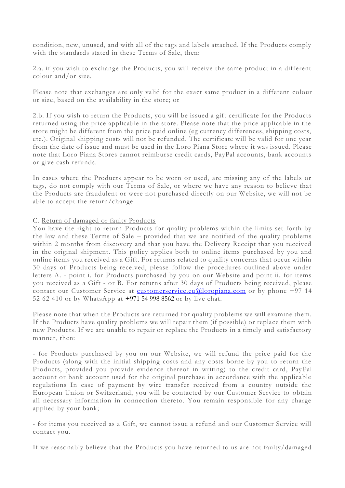condition, new, unused, and with all of the tags and labels attached. If the Products comply with the standards stated in these Terms of Sale, then:

2.a. if you wish to exchange the Products, you will receive the same product in a different colour and/or size.

Please note that exchanges are only valid for the exact same product in a different colour or size, based on the availability in the store; or

2.b. If you wish to return the Products, you will be issued a gift certificate for the Products returned using the price applicable in the store. Please note that the price applicable in the store might be different from the price paid online (eg currency differences, shipping costs, etc.). Original shipping costs will not be refunded. The certificate will be valid for one year from the date of issue and must be used in the Loro Piana Store where it was issued. Please note that Loro Piana Stores cannot reimburse credit cards, PayPal accounts, bank accounts or give cash refunds.

In cases where the Products appear to be worn or used, are missing any of the labels or tags, do not comply with our Terms of Sale, or where we have any reason to believe that the Products are fraudulent or were not purchased directly on our Website, we will not be able to accept the return/change.

#### C. Return of damaged or faulty Products

You have the right to return Products for quality problems within the limits set forth by the law and these Terms of Sale – provided that we are notified of the quality problems within 2 months from discovery and that you have the Delivery Receipt that you received in the original shipment. This policy applies both to online items purchased by you and online items you received as a Gift. For returns related to quality concerns that occur within 30 days of Products being received, please follow the procedures outlined above under letters A. - point i. for Products purchased by you on our Website and point ii. for items you received as a Gift - or B. For returns after 30 days of Products being received, please contact our Customer Service at [customerservice.eu@loropiana.com](mailto:customerservice.eu@loropiana.com) or by phone +97 14 52 62 410 or by WhatsApp at +971 54 998 8562 or by live chat.

Please note that when the Products are returned for quality problems we will examine them. If the Products have quality problems we will repair them (if possible) or replace them with new Products. If we are unable to repair or replace the Products in a timely and satisfactory manner, then:

- for Products purchased by you on our Website, we will refund the price paid for the Products (along with the initial shipping costs and any costs borne by you to return the Products, provided you provide evidence thereof in writing) to the credit card, Pay Pal account or bank account used for the original purchase in accordance with the applicable regulations In case of payment by wire transfer received from a country outside the European Union or Switzerland, you will be contacted by our Customer Service to obtain all necessary information in connection thereto. You remain responsible for any charge applied by your bank;

- for items you received as a Gift, we cannot issue a refund and our Customer Service will contact you.

If we reasonably believe that the Products you have returned to us are not faulty/damaged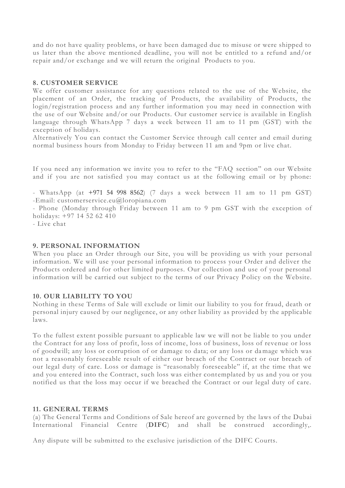and do not have quality problems, or have been damaged due to misuse or were shipped to us later than the above mentioned deadline, you will not be entitled to a refund and/or repair and/or exchange and we will return the original Products to you.

## **8. CUSTOMER SERVICE**

We offer customer assistance for any questions related to the use of the Website, the placement of an Order, the tracking of Products, the availability of Products, the login/registration process and any further information you may need in connection with the use of our Website and/or our Products. Our customer service is available in English language through WhatsApp 7 days a week between 11 am to 11 pm (GST) with the exception of holidays.

Alternatively You can contact the Customer Service through call center and email during normal business hours from Monday to Friday between 11 am and 9pm or live chat.

If you need any information we invite you to refer to the "FAQ section" on our Website and if you are not satisfied you may contact us at the following email or by phone:

- WhatsApp (at +971 54 998 8562) (7 days a week between 11 am to 11 pm GST) -Email: [customerservice.eu@loropiana.com](mailto:customerservice.eu@loropiana.com)

- Phone (Monday through Friday between 11 am to 9 pm GST with the exception of holidays: +97 14 52 62 410

- Live chat

#### **9. PERSONAL INFORMATION**

When you place an Order through our Site, you will be providing us with your personal information. We will use your personal information to process your Order and deliver the Products ordered and for other limited purposes. Our collection and use of your personal information will be carried out subject to the terms of our Privacy Policy on the Website.

#### **10. OUR LIABILITY TO YOU**

Nothing in these Terms of Sale will exclude or limit our liability to you for fraud, death or personal injury caused by our negligence, or any other liability as provided by the applicable laws.

To the fullest extent possible pursuant to applicable law we will not be liable to you under the Contract for any loss of profit, loss of income, loss of business, loss of revenue or loss of goodwill; any loss or corruption of or damage to data; or any loss or damage which was not a reasonably foreseeable result of either our breach of the Contract or our breach of our legal duty of care. Loss or damage is "reasonably foreseeable" if, at the time that we and you entered into the Contract, such loss was either contemplated by us and you or you notified us that the loss may occur if we breached the Contract or our legal duty of care.

#### **11. GENERAL TERMS**

(a) The General Terms and Conditions of Sale hereof are governed by the laws of the Dubai International Financial Centre (**DIFC**) and shall be construed accordingly,.

Any dispute will be submitted to the exclusive jurisdiction of the DIFC Courts.